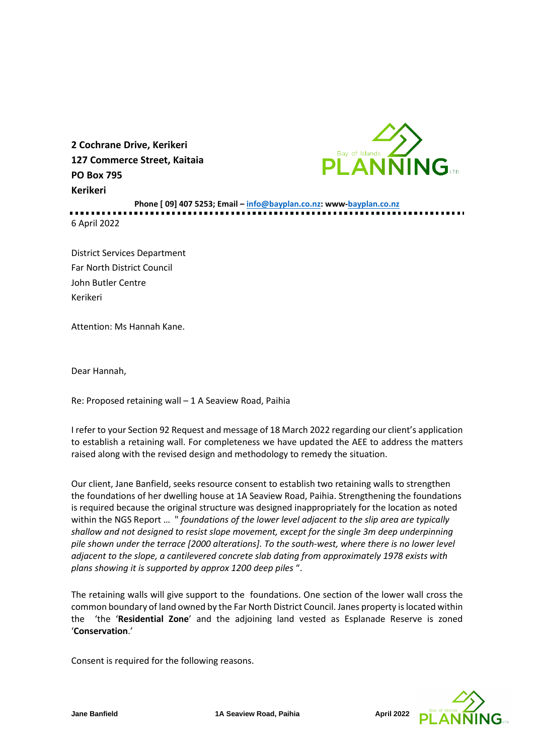

**2 Cochrane Drive, Kerikeri 127 Commerce Street, Kaitaia PO Box 795 Kerikeri**

**Phone [ 09] 407 5253; Email – [info@bayplan.co.nz:](mailto:info@bayplan.co.nz) www-bayplan.co.nz** 6 April 2022

District Services Department Far North District Council John Butler Centre Kerikeri

Attention: Ms Hannah Kane.

Dear Hannah,

Re: Proposed retaining wall – 1 A Seaview Road, Paihia

I refer to your Section 92 Request and message of 18 March 2022 regarding our client's application to establish a retaining wall. For completeness we have updated the AEE to address the matters raised along with the revised design and methodology to remedy the situation.

Our client, Jane Banfield, seeks resource consent to establish two retaining walls to strengthen the foundations of her dwelling house at 1A Seaview Road, Paihia. Strengthening the foundations is required because the original structure was designed inappropriately for the location as noted within the NGS Report … " *foundations of the lower level adjacent to the slip area are typically shallow and not designed to resist slope movement, except for the single 3m deep underpinning pile shown under the terrace [2000 alterations]. To the south-west, where there is no lower level adjacent to the slope, a cantilevered concrete slab dating from approximately 1978 exists with plans showing it is supported by approx 1200 deep piles* ".

The retaining walls will give support to the foundations. One section of the lower wall cross the common boundary of land owned by the Far North District Council. Janes property is located within the 'the '**Residential Zone**' and the adjoining land vested as Esplanade Reserve is zoned '**Conservation**.'

Consent is required for the following reasons.

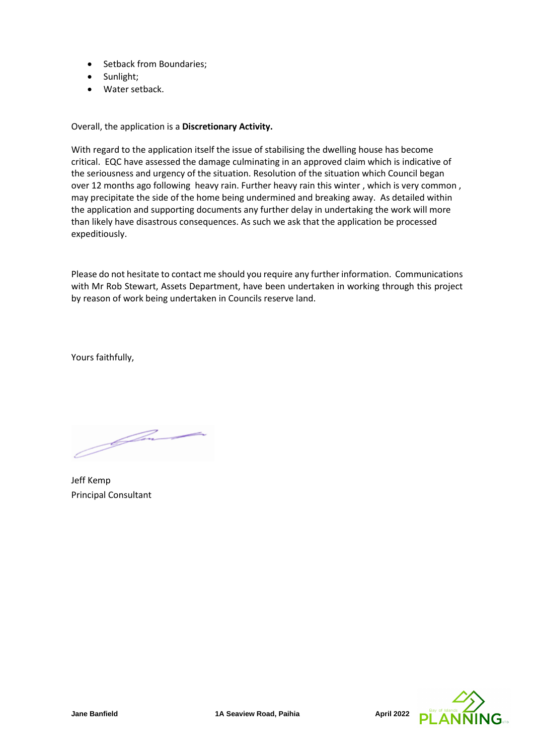- Setback from Boundaries;
- Sunlight;
- Water setback.

Overall, the application is a **Discretionary Activity.**

With regard to the application itself the issue of stabilising the dwelling house has become critical. EQC have assessed the damage culminating in an approved claim which is indicative of the seriousness and urgency of the situation. Resolution of the situation which Council began over 12 months ago following heavy rain. Further heavy rain this winter , which is very common , may precipitate the side of the home being undermined and breaking away. As detailed within the application and supporting documents any further delay in undertaking the work will more than likely have disastrous consequences. As such we ask that the application be processed expeditiously.

Please do not hesitate to contact me should you require any further information. Communications with Mr Rob Stewart, Assets Department, have been undertaken in working through this project by reason of work being undertaken in Councils reserve land.

Yours faithfully,

.<br>Jun

Jeff Kemp Principal Consultant

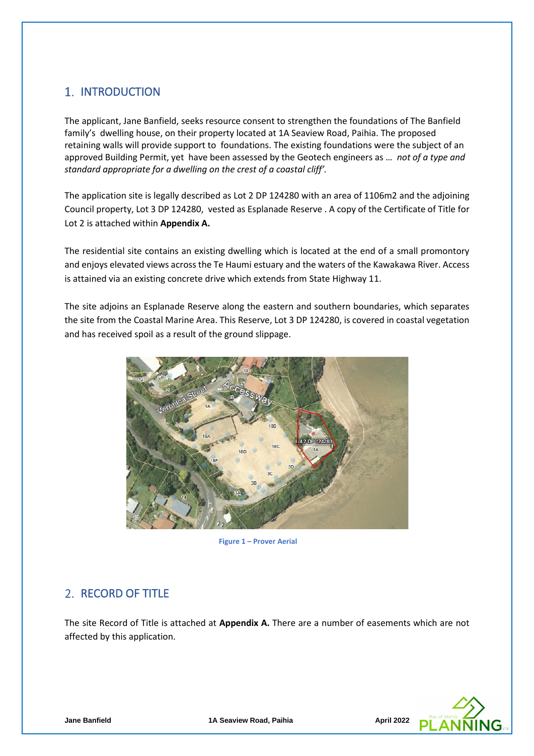# 1. INTRODUCTION

The applicant, Jane Banfield, seeks resource consent to strengthen the foundations of The Banfield family's dwelling house, on their property located at 1A Seaview Road, Paihia. The proposed retaining walls will provide support to foundations. The existing foundations were the subject of an approved Building Permit, yet have been assessed by the Geotech engineers as … *not of a type and standard appropriate for a dwelling on the crest of a coastal cliff'.* 

The application site is legally described as Lot 2 DP 124280 with an area of 1106m2 and the adjoining Council property, Lot 3 DP 124280, vested as Esplanade Reserve . A copy of the Certificate of Title for Lot 2 is attached within **Appendix A.**

The residential site contains an existing dwelling which is located at the end of a small promontory and enjoys elevated views across the Te Haumi estuary and the waters of the Kawakawa River. Access is attained via an existing concrete drive which extends from State Highway 11.

The site adjoins an Esplanade Reserve along the eastern and southern boundaries, which separates the site from the Coastal Marine Area. This Reserve, Lot 3 DP 124280, is covered in coastal vegetation and has received spoil as a result of the ground slippage.



**Figure 1 – Prover Aerial**

# 2. RECORD OF TITLE

The site Record of Title is attached at **Appendix A.** There are a number of easements which are not affected by this application.

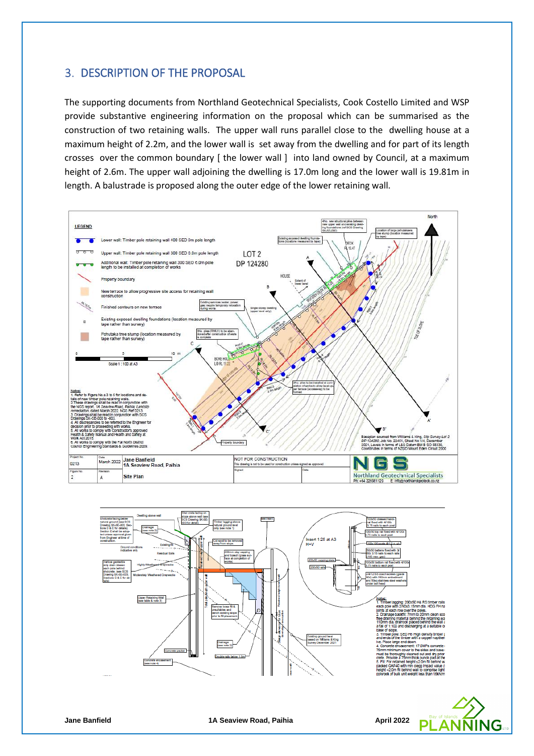# 3. DESCRIPTION OF THE PROPOSAL

The supporting documents from Northland Geotechnical Specialists, Cook Costello Limited and WSP provide substantive engineering information on the proposal which can be summarised as the construction of two retaining walls. The upper wall runs parallel close to the dwelling house at a maximum height of 2.2m, and the lower wall is set away from the dwelling and for part of its length crosses over the common boundary [ the lower wall ] into land owned by Council, at a maximum height of 2.6m. The upper wall adjoining the dwelling is 17.0m long and the lower wall is 19.81m in length. A balustrade is proposed along the outer edge of the lower retaining wall.



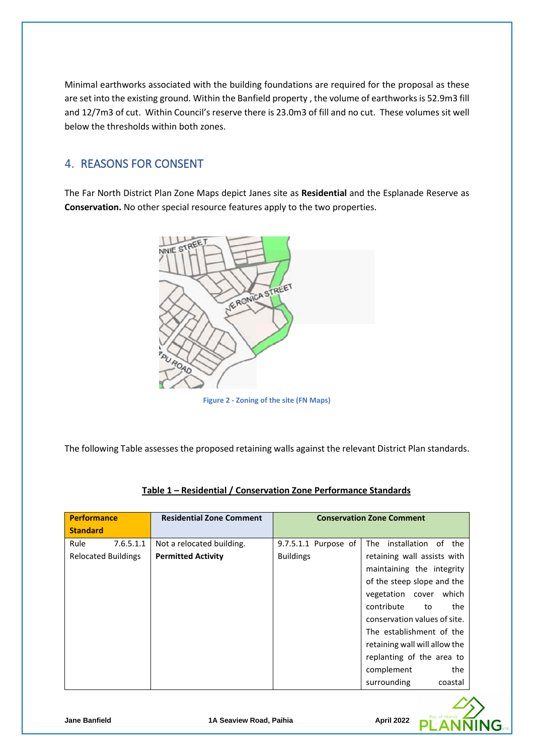Minimal earthworks associated with the building foundations are required for the proposal as these are set into the existing ground. Within the Banfield property , the volume of earthworks is 52.9m3 fill and 12/7m3 of cut. Within Council's reserve there is 23.0m3 of fill and no cut. These volumes sit well below the thresholds within both zones.

# 4. REASONS FOR CONSENT

The Far North District Plan Zone Maps depict Janes site as **Residential** and the Esplanade Reserve as **Conservation.** No other special resource features apply to the two properties.



**Figure 2 - Zoning of the site (FN Maps)**

The following Table assesses the proposed retaining walls against the relevant District Plan standards.

| <b>Performance</b>         | <b>Residential Zone Comment</b> | <b>Conservation Zone Comment</b> |                                 |
|----------------------------|---------------------------------|----------------------------------|---------------------------------|
| <b>Standard</b>            |                                 |                                  |                                 |
| Rule<br>7.6.5.1.1          | Not a relocated building.       | 9.7.5.1.1 Purpose of             | installation of<br>The .<br>the |
| <b>Relocated Buildings</b> | <b>Permitted Activity</b>       | <b>Buildings</b>                 | retaining wall assists with     |
|                            |                                 |                                  | maintaining the integrity       |
|                            |                                 |                                  | of the steep slope and the      |
|                            |                                 |                                  | vegetation<br>which<br>cover    |
|                            |                                 |                                  | contribute<br>the<br>to         |
|                            |                                 |                                  | conservation values of site.    |
|                            |                                 |                                  | The establishment of the        |
|                            |                                 |                                  | retaining wall will allow the   |
|                            |                                 |                                  | replanting of the area to       |
|                            |                                 |                                  | complement<br>the               |
|                            |                                 |                                  | surrounding<br>coastal          |

## **Table 1 – Residential / Conservation Zone Performance Standards**

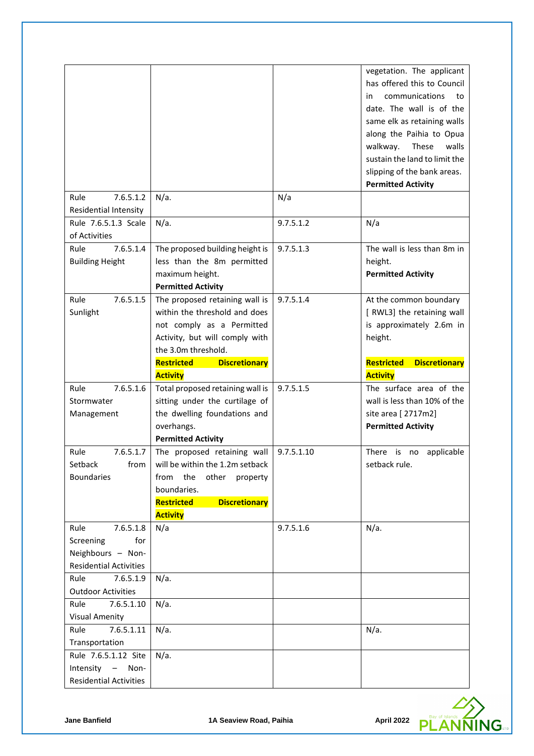|                                                                                                                  |                                                                                                                                                                                                                |            | vegetation. The applicant<br>has offered this to Council<br>communications<br>in<br>to<br>date. The wall is of the<br>same elk as retaining walls<br>along the Paihia to Opua<br>These<br>walls<br>walkway.<br>sustain the land to limit the<br>slipping of the bank areas.<br><b>Permitted Activity</b> |
|------------------------------------------------------------------------------------------------------------------|----------------------------------------------------------------------------------------------------------------------------------------------------------------------------------------------------------------|------------|----------------------------------------------------------------------------------------------------------------------------------------------------------------------------------------------------------------------------------------------------------------------------------------------------------|
| 7.6.5.1.2<br>Rule<br><b>Residential Intensity</b>                                                                | $N/a$ .                                                                                                                                                                                                        | N/a        |                                                                                                                                                                                                                                                                                                          |
| Rule 7.6.5.1.3 Scale<br>of Activities                                                                            | $N/a$ .                                                                                                                                                                                                        | 9.7.5.1.2  | N/a                                                                                                                                                                                                                                                                                                      |
| 7.6.5.1.4<br>Rule<br><b>Building Height</b>                                                                      | The proposed building height is<br>less than the 8m permitted<br>maximum height.<br><b>Permitted Activity</b>                                                                                                  | 9.7.5.1.3  | The wall is less than 8m in<br>height.<br><b>Permitted Activity</b>                                                                                                                                                                                                                                      |
| 7.6.5.1.5<br>Rule<br>Sunlight                                                                                    | The proposed retaining wall is<br>within the threshold and does<br>not comply as a Permitted<br>Activity, but will comply with<br>the 3.0m threshold.<br>Restricted<br><b>Discretionary</b><br><b>Activity</b> | 9.7.5.1.4  | At the common boundary<br>[ RWL3] the retaining wall<br>is approximately 2.6m in<br>height.<br>Restricted<br><b>Discretionary</b><br><b>Activity</b>                                                                                                                                                     |
| 7.6.5.1.6<br>Rule<br>Stormwater<br>Management                                                                    | Total proposed retaining wall is<br>sitting under the curtilage of<br>the dwelling foundations and<br>overhangs.<br><b>Permitted Activity</b>                                                                  | 9.7.5.1.5  | The surface area of the<br>wall is less than 10% of the<br>site area [ 2717m2]<br><b>Permitted Activity</b>                                                                                                                                                                                              |
| 7.6.5.1.7<br>Rule<br>from<br>Setback<br><b>Boundaries</b>                                                        | The proposed retaining wall<br>will be within the 1.2m setback<br>from the<br>other<br>property<br>boundaries.<br><b>Discretionary</b><br>Restricted<br><b>Activity</b>                                        | 9.7.5.1.10 | There is no<br>applicable<br>setback rule.                                                                                                                                                                                                                                                               |
| 7.6.5.1.8<br>Rule<br>Screening<br>for<br>Neighbours - Non-<br><b>Residential Activities</b><br>Rule<br>7.6.5.1.9 | N/a<br>$N/a$ .                                                                                                                                                                                                 | 9.7.5.1.6  | $N/a$ .                                                                                                                                                                                                                                                                                                  |
| <b>Outdoor Activities</b><br>7.6.5.1.10<br>Rule                                                                  | $N/a$ .                                                                                                                                                                                                        |            |                                                                                                                                                                                                                                                                                                          |
| <b>Visual Amenity</b><br>Rule<br>7.6.5.1.11<br>Transportation                                                    | $N/a$ .                                                                                                                                                                                                        |            | $N/a$ .                                                                                                                                                                                                                                                                                                  |
| Rule 7.6.5.1.12 Site<br>Intensity - Non-<br><b>Residential Activities</b>                                        | $N/a$ .                                                                                                                                                                                                        |            |                                                                                                                                                                                                                                                                                                          |

P

G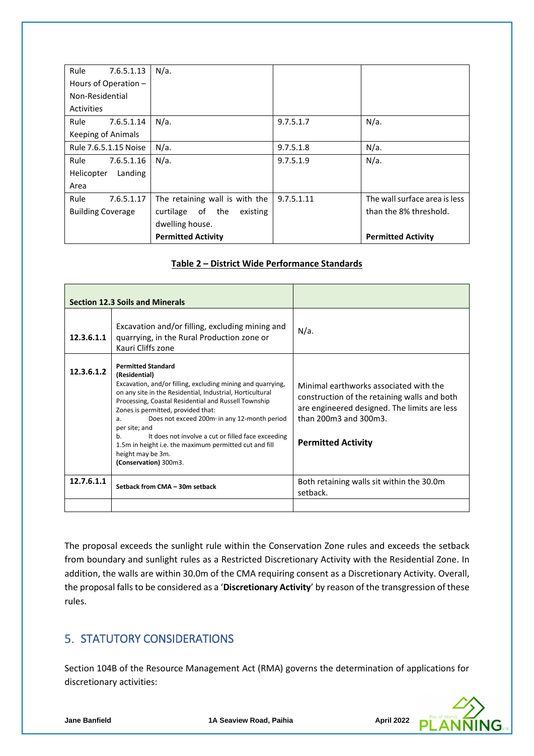| Rule<br>7.6.5.1.13        | $N/a$ .                         |            |                               |
|---------------------------|---------------------------------|------------|-------------------------------|
| Hours of Operation -      |                                 |            |                               |
| Non-Residential           |                                 |            |                               |
| Activities                |                                 |            |                               |
| Rule<br>7.6.5.1.14        | $N/a$ .                         | 9.7.5.1.7  | $N/a$ .                       |
| <b>Keeping of Animals</b> |                                 |            |                               |
| Rule 7.6.5.1.15 Noise     | $N/a$ .                         | 9.7.5.1.8  | $N/a$ .                       |
| Rule<br>7.6.5.1.16        | $N/a$ .                         | 9.7.5.1.9  | $N/a$ .                       |
| Helicopter<br>Landing     |                                 |            |                               |
| Area                      |                                 |            |                               |
| Rule<br>7.6.5.1.17        | The retaining wall is with the  | 9.7.5.1.11 | The wall surface area is less |
| <b>Building Coverage</b>  | of the<br>curtilage<br>existing |            | than the 8% threshold.        |
|                           | dwelling house.                 |            |                               |
|                           | <b>Permitted Activity</b>       |            | <b>Permitted Activity</b>     |

## **Table 2 – District Wide Performance Standards**

|            | <b>Section 12.3 Soils and Minerals</b>                                                                                                                                                                                                                                                                                                                                                                                                                                                                                                  |                                                                                                                                                                                              |
|------------|-----------------------------------------------------------------------------------------------------------------------------------------------------------------------------------------------------------------------------------------------------------------------------------------------------------------------------------------------------------------------------------------------------------------------------------------------------------------------------------------------------------------------------------------|----------------------------------------------------------------------------------------------------------------------------------------------------------------------------------------------|
| 12.3.6.1.1 | Excavation and/or filling, excluding mining and<br>quarrying, in the Rural Production zone or<br>Kauri Cliffs zone                                                                                                                                                                                                                                                                                                                                                                                                                      | $N/a$ .                                                                                                                                                                                      |
| 12.3.6.1.2 | <b>Permitted Standard</b><br>(Residential)<br>Excavation, and/or filling, excluding mining and quarrying,<br>on any site in the Residential, Industrial, Horticultural<br>Processing, Coastal Residential and Russell Township<br>Zones is permitted, provided that:<br>Does not exceed 200m <sup>3</sup> in any 12-month period<br>a.<br>per site; and<br>It does not involve a cut or filled face exceeding<br>b <sub>1</sub><br>1.5m in height i.e. the maximum permitted cut and fill<br>height may be 3m.<br>(Conservation) 300m3. | Minimal earthworks associated with the<br>construction of the retaining walls and both<br>are engineered designed. The limits are less<br>than 200m3 and 300m3.<br><b>Permitted Activity</b> |
| 12.7.6.1.1 | Setback from CMA - 30m setback                                                                                                                                                                                                                                                                                                                                                                                                                                                                                                          | Both retaining walls sit within the 30.0m<br>setback.                                                                                                                                        |
|            |                                                                                                                                                                                                                                                                                                                                                                                                                                                                                                                                         |                                                                                                                                                                                              |

The proposal exceeds the sunlight rule within the Conservation Zone rules and exceeds the setback from boundary and sunlight rules as a Restricted Discretionary Activity with the Residential Zone. In addition, the walls are within 30.0m of the CMA requiring consent as a Discretionary Activity. Overall, the proposal falls to be considered as a '**Discretionary Activity**' by reason of the transgression of these rules.

# **5. STATUTORY CONSIDERATIONS**

Section 104B of the Resource Management Act (RMA) governs the determination of applications for discretionary activities: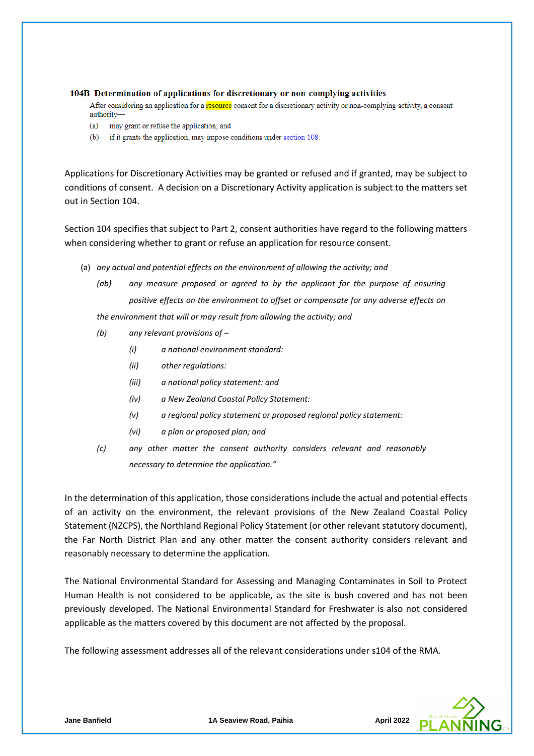#### 104B Determination of applications for discretionary or non-complying activities

After considering an application for a resource consent for a discretionary activity or non-complying activity, a consent authority-

- may grant or refuse the application; and  $(a)$
- (b) if it grants the application, may impose conditions under section 108.

Applications for Discretionary Activities may be granted or refused and if granted, may be subject to conditions of consent. A decision on a Discretionary Activity application is subject to the matters set out in Section 104.

Section 104 specifies that subject to Part 2, consent authorities have regard to the following matters when considering whether to grant or refuse an application for resource consent.

- (a) *any actual and potential effects on the environment of allowing the activity; and* 
	- *(ab) any measure proposed or agreed to by the applicant for the purpose of ensuring positive effects on the environment to offset or compensate for any adverse effects on*

*the environment that will or may result from allowing the activity; and*

- *(b) any relevant provisions of –*
	- *(i) a national environment standard:*
	- *(ii) other regulations:*
	- *(iii) a national policy statement: and*
	- *(iv) a New Zealand Coastal Policy Statement:*
	- *(v) a regional policy statement or proposed regional policy statement:*
	- *(vi) a plan or proposed plan; and*
- *(c) any other matter the consent authority considers relevant and reasonably necessary to determine the application."*

In the determination of this application, those considerations include the actual and potential effects of an activity on the environment, the relevant provisions of the New Zealand Coastal Policy Statement (NZCPS), the Northland Regional Policy Statement (or other relevant statutory document), the Far North District Plan and any other matter the consent authority considers relevant and reasonably necessary to determine the application.

The National Environmental Standard for Assessing and Managing Contaminates in Soil to Protect Human Health is not considered to be applicable, as the site is bush covered and has not been previously developed. The National Environmental Standard for Freshwater is also not considered applicable as the matters covered by this document are not affected by the proposal.

The following assessment addresses all of the relevant considerations under s104 of the RMA.

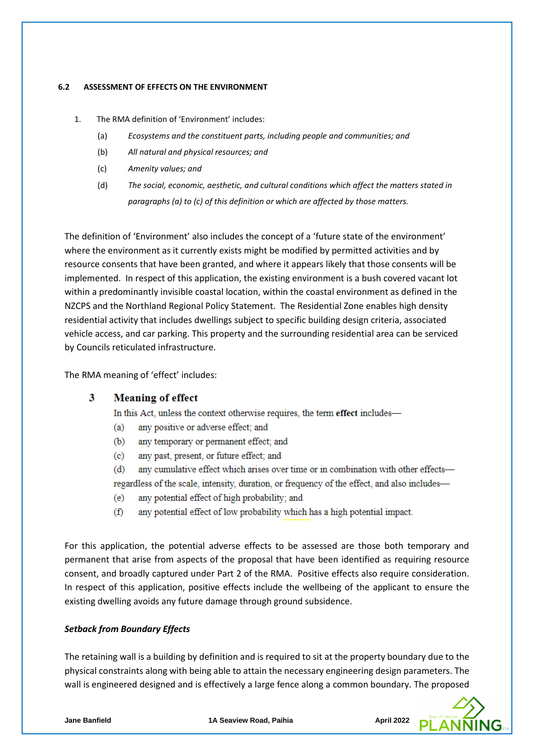### **6.2 ASSESSMENT OF EFFECTS ON THE ENVIRONMENT**

- 1. The RMA definition of 'Environment' includes:
	- (a) *Ecosystems and the constituent parts, including people and communities; and*
	- (b) *All natural and physical resources; and*
	- (c) *Amenity values; and*
	- (d) *The social, economic, aesthetic, and cultural conditions which affect the matters stated in paragraphs (a) to (c) of this definition or which are affected by those matters.*

The definition of 'Environment' also includes the concept of a 'future state of the environment' where the environment as it currently exists might be modified by permitted activities and by resource consents that have been granted, and where it appears likely that those consents will be implemented. In respect of this application, the existing environment is a bush covered vacant lot within a predominantly invisible coastal location, within the coastal environment as defined in the NZCPS and the Northland Regional Policy Statement. The Residential Zone enables high density residential activity that includes dwellings subject to specific building design criteria, associated vehicle access, and car parking. This property and the surrounding residential area can be serviced by Councils reticulated infrastructure.

The RMA meaning of 'effect' includes:

#### 3 **Meaning of effect**

In this Act, unless the context otherwise requires, the term effect includes-

- $(a)$ any positive or adverse effect; and
- any temporary or permanent effect; and (b)
- $\left( \text{c} \right)$ any past, present, or future effect; and
- any cumulative effect which arises over time or in combination with other effects- $(d)$ regardless of the scale, intensity, duration, or frequency of the effect, and also includes—
- any potential effect of high probability; and  $(e)$
- $(f)$ any potential effect of low probability which has a high potential impact.

For this application, the potential adverse effects to be assessed are those both temporary and permanent that arise from aspects of the proposal that have been identified as requiring resource consent, and broadly captured under Part 2 of the RMA. Positive effects also require consideration. In respect of this application, positive effects include the wellbeing of the applicant to ensure the existing dwelling avoids any future damage through ground subsidence.

## *Setback from Boundary Effects*

The retaining wall is a building by definition and is required to sit at the property boundary due to the physical constraints along with being able to attain the necessary engineering design parameters. The wall is engineered designed and is effectively a large fence along a common boundary. The proposed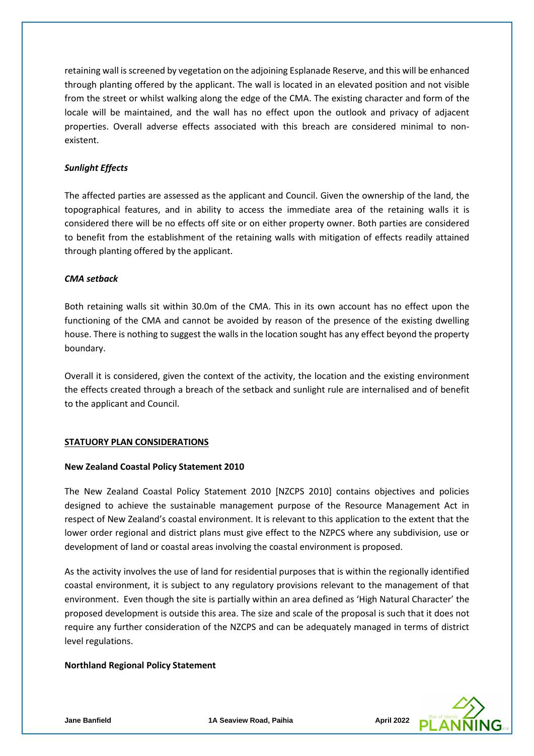retaining wall is screened by vegetation on the adjoining Esplanade Reserve, and this will be enhanced through planting offered by the applicant. The wall is located in an elevated position and not visible from the street or whilst walking along the edge of the CMA. The existing character and form of the locale will be maintained, and the wall has no effect upon the outlook and privacy of adjacent properties. Overall adverse effects associated with this breach are considered minimal to nonexistent.

## *Sunlight Effects*

The affected parties are assessed as the applicant and Council. Given the ownership of the land, the topographical features, and in ability to access the immediate area of the retaining walls it is considered there will be no effects off site or on either property owner. Both parties are considered to benefit from the establishment of the retaining walls with mitigation of effects readily attained through planting offered by the applicant.

### *CMA setback*

Both retaining walls sit within 30.0m of the CMA. This in its own account has no effect upon the functioning of the CMA and cannot be avoided by reason of the presence of the existing dwelling house. There is nothing to suggest the walls in the location sought has any effect beyond the property boundary.

Overall it is considered, given the context of the activity, the location and the existing environment the effects created through a breach of the setback and sunlight rule are internalised and of benefit to the applicant and Council.

#### **STATUORY PLAN CONSIDERATIONS**

#### **New Zealand Coastal Policy Statement 2010**

The New Zealand Coastal Policy Statement 2010 [NZCPS 2010] contains objectives and policies designed to achieve the sustainable management purpose of the Resource Management Act in respect of New Zealand's coastal environment. It is relevant to this application to the extent that the lower order regional and district plans must give effect to the NZPCS where any subdivision, use or development of land or coastal areas involving the coastal environment is proposed.

As the activity involves the use of land for residential purposes that is within the regionally identified coastal environment, it is subject to any regulatory provisions relevant to the management of that environment. Even though the site is partially within an area defined as 'High Natural Character' the proposed development is outside this area. The size and scale of the proposal is such that it does not require any further consideration of the NZCPS and can be adequately managed in terms of district level regulations.

#### **Northland Regional Policy Statement**

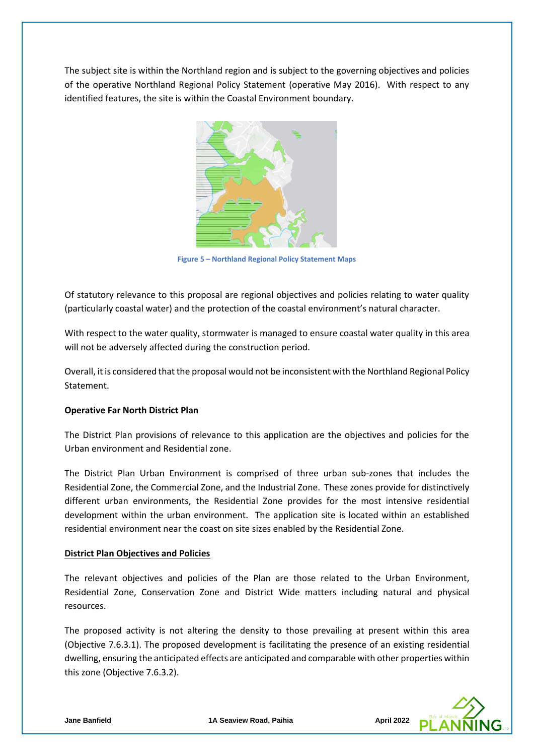The subject site is within the Northland region and is subject to the governing objectives and policies of the operative Northland Regional Policy Statement (operative May 2016). With respect to any identified features, the site is within the Coastal Environment boundary.



**Figure 5 – Northland Regional Policy Statement Maps**

Of statutory relevance to this proposal are regional objectives and policies relating to water quality (particularly coastal water) and the protection of the coastal environment's natural character.

With respect to the water quality, stormwater is managed to ensure coastal water quality in this area will not be adversely affected during the construction period.

Overall, it is considered that the proposal would not be inconsistent with the Northland Regional Policy Statement.

#### **Operative Far North District Plan**

The District Plan provisions of relevance to this application are the objectives and policies for the Urban environment and Residential zone.

The District Plan Urban Environment is comprised of three urban sub-zones that includes the Residential Zone, the Commercial Zone, and the Industrial Zone. These zones provide for distinctively different urban environments, the Residential Zone provides for the most intensive residential development within the urban environment. The application site is located within an established residential environment near the coast on site sizes enabled by the Residential Zone.

#### **District Plan Objectives and Policies**

The relevant objectives and policies of the Plan are those related to the Urban Environment, Residential Zone, Conservation Zone and District Wide matters including natural and physical resources.

The proposed activity is not altering the density to those prevailing at present within this area (Objective 7.6.3.1). The proposed development is facilitating the presence of an existing residential dwelling, ensuring the anticipated effects are anticipated and comparable with other properties within this zone (Objective 7.6.3.2).

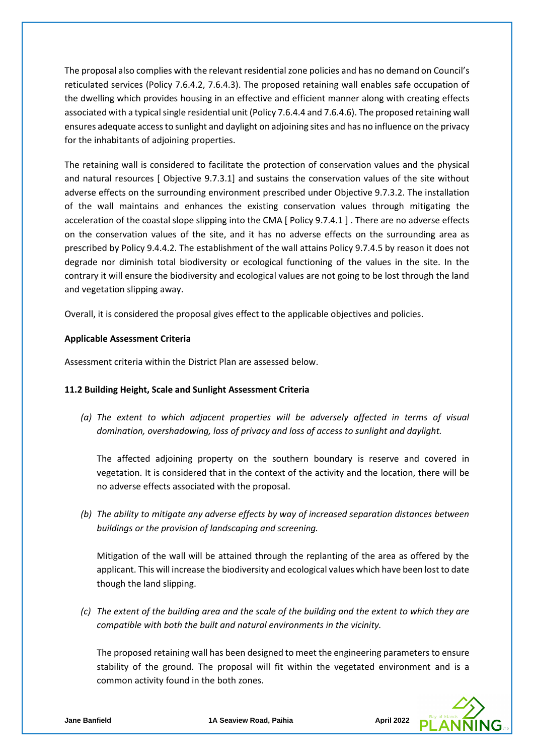The proposal also complies with the relevant residential zone policies and has no demand on Council's reticulated services (Policy 7.6.4.2, 7.6.4.3). The proposed retaining wall enables safe occupation of the dwelling which provides housing in an effective and efficient manner along with creating effects associated with a typical single residential unit (Policy 7.6.4.4 and 7.6.4.6). The proposed retaining wall ensures adequate access to sunlight and daylight on adjoining sites and has no influence on the privacy for the inhabitants of adjoining properties.

The retaining wall is considered to facilitate the protection of conservation values and the physical and natural resources [ Objective 9.7.3.1] and sustains the conservation values of the site without adverse effects on the surrounding environment prescribed under Objective 9.7.3.2. The installation of the wall maintains and enhances the existing conservation values through mitigating the acceleration of the coastal slope slipping into the CMA [ Policy 9.7.4.1 ] . There are no adverse effects on the conservation values of the site, and it has no adverse effects on the surrounding area as prescribed by Policy 9.4.4.2. The establishment of the wall attains Policy 9.7.4.5 by reason it does not degrade nor diminish total biodiversity or ecological functioning of the values in the site. In the contrary it will ensure the biodiversity and ecological values are not going to be lost through the land and vegetation slipping away.

Overall, it is considered the proposal gives effect to the applicable objectives and policies.

## **Applicable Assessment Criteria**

Assessment criteria within the District Plan are assessed below.

## **11.2 Building Height, Scale and Sunlight Assessment Criteria**

*(a) The extent to which adjacent properties will be adversely affected in terms of visual domination, overshadowing, loss of privacy and loss of access to sunlight and daylight.* 

The affected adjoining property on the southern boundary is reserve and covered in vegetation. It is considered that in the context of the activity and the location, there will be no adverse effects associated with the proposal.

*(b) The ability to mitigate any adverse effects by way of increased separation distances between buildings or the provision of landscaping and screening.* 

Mitigation of the wall will be attained through the replanting of the area as offered by the applicant. This will increase the biodiversity and ecological values which have been lost to date though the land slipping.

*(c) The extent of the building area and the scale of the building and the extent to which they are compatible with both the built and natural environments in the vicinity.* 

The proposed retaining wall has been designed to meet the engineering parameters to ensure stability of the ground. The proposal will fit within the vegetated environment and is a common activity found in the both zones.

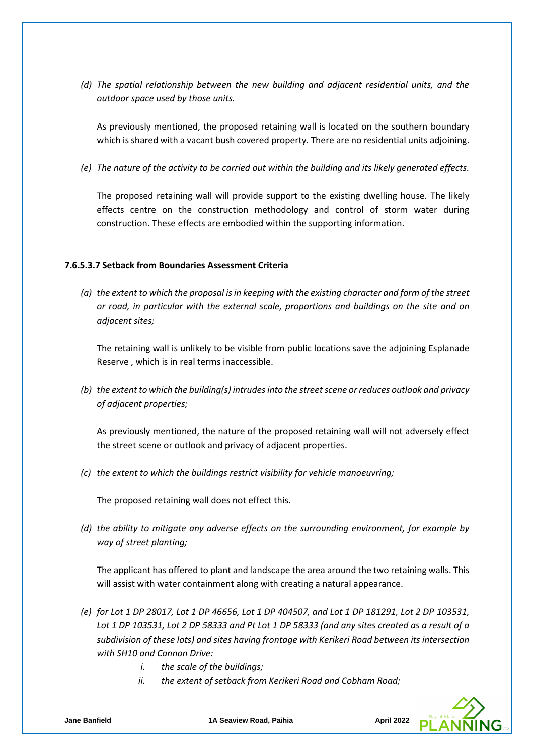*(d) The spatial relationship between the new building and adjacent residential units, and the outdoor space used by those units.* 

As previously mentioned, the proposed retaining wall is located on the southern boundary which is shared with a vacant bush covered property. There are no residential units adjoining.

*(e) The nature of the activity to be carried out within the building and its likely generated effects.*

The proposed retaining wall will provide support to the existing dwelling house. The likely effects centre on the construction methodology and control of storm water during construction. These effects are embodied within the supporting information.

#### **7.6.5.3.7 Setback from Boundaries Assessment Criteria**

*(a) the extent to which the proposal is in keeping with the existing character and form of the street or road, in particular with the external scale, proportions and buildings on the site and on adjacent sites;*

The retaining wall is unlikely to be visible from public locations save the adjoining Esplanade Reserve , which is in real terms inaccessible.

*(b) the extent to which the building(s) intrudes into the street scene or reduces outlook and privacy of adjacent properties;*

As previously mentioned, the nature of the proposed retaining wall will not adversely effect the street scene or outlook and privacy of adjacent properties.

*(c) the extent to which the buildings restrict visibility for vehicle manoeuvring;*

The proposed retaining wall does not effect this.

*(d) the ability to mitigate any adverse effects on the surrounding environment, for example by way of street planting;*

The applicant has offered to plant and landscape the area around the two retaining walls. This will assist with water containment along with creating a natural appearance.

- *(e) for Lot 1 DP 28017, Lot 1 DP 46656, Lot 1 DP 404507, and Lot 1 DP 181291, Lot 2 DP 103531, Lot 1 DP 103531, Lot 2 DP 58333 and Pt Lot 1 DP 58333 (and any sites created as a result of a subdivision of these lots) and sites having frontage with Kerikeri Road between its intersection with SH10 and Cannon Drive:*
	- *i. the scale of the buildings;*
	- *ii. the extent of setback from Kerikeri Road and Cobham Road;*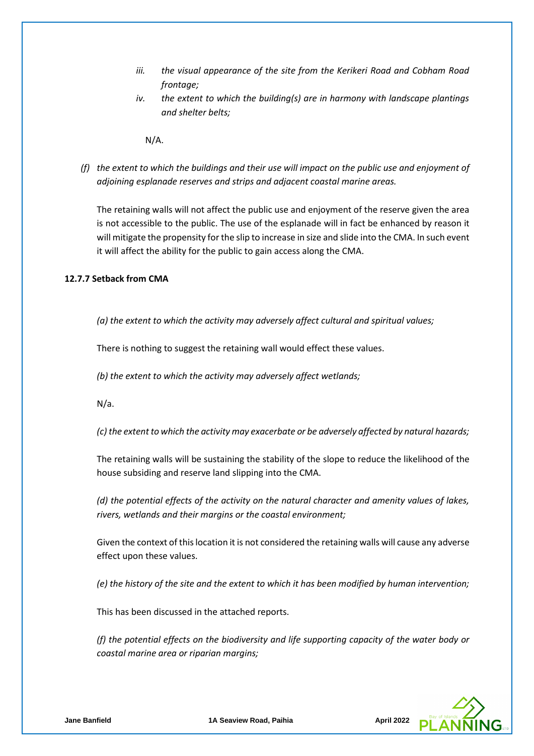- *iii. the visual appearance of the site from the Kerikeri Road and Cobham Road frontage;*
- *iv. the extent to which the building(s) are in harmony with landscape plantings and shelter belts;*

N/A.

*(f) the extent to which the buildings and their use will impact on the public use and enjoyment of adjoining esplanade reserves and strips and adjacent coastal marine areas.*

The retaining walls will not affect the public use and enjoyment of the reserve given the area is not accessible to the public. The use of the esplanade will in fact be enhanced by reason it will mitigate the propensity for the slip to increase in size and slide into the CMA. In such event it will affect the ability for the public to gain access along the CMA.

## **12.7.7 Setback from CMA**

*(a) the extent to which the activity may adversely affect cultural and spiritual values;* 

There is nothing to suggest the retaining wall would effect these values.

*(b) the extent to which the activity may adversely affect wetlands;* 

N/a.

*(c) the extent to which the activity may exacerbate or be adversely affected by natural hazards;* 

The retaining walls will be sustaining the stability of the slope to reduce the likelihood of the house subsiding and reserve land slipping into the CMA.

*(d) the potential effects of the activity on the natural character and amenity values of lakes, rivers, wetlands and their margins or the coastal environment;* 

Given the context of this location it is not considered the retaining walls will cause any adverse effect upon these values.

*(e) the history of the site and the extent to which it has been modified by human intervention;* 

This has been discussed in the attached reports.

*(f) the potential effects on the biodiversity and life supporting capacity of the water body or coastal marine area or riparian margins;* 

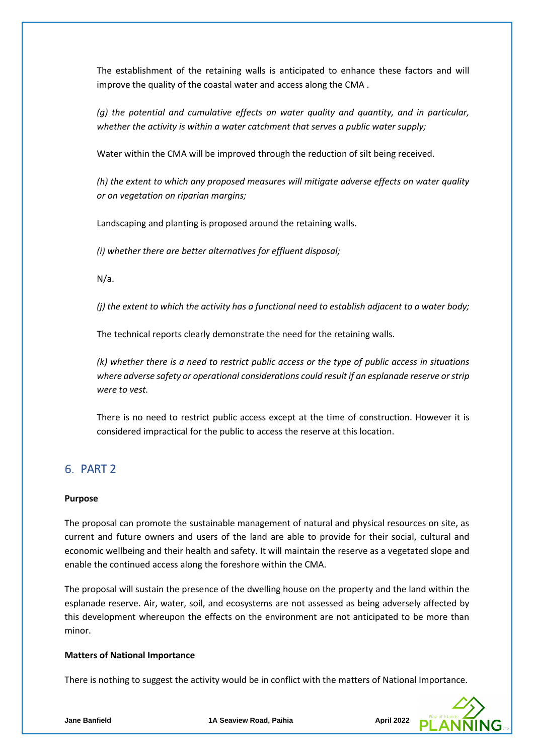The establishment of the retaining walls is anticipated to enhance these factors and will improve the quality of the coastal water and access along the CMA .

*(g) the potential and cumulative effects on water quality and quantity, and in particular, whether the activity is within a water catchment that serves a public water supply;* 

Water within the CMA will be improved through the reduction of silt being received.

*(h) the extent to which any proposed measures will mitigate adverse effects on water quality or on vegetation on riparian margins;* 

Landscaping and planting is proposed around the retaining walls.

*(i) whether there are better alternatives for effluent disposal;* 

N/a.

*(j) the extent to which the activity has a functional need to establish adjacent to a water body;* 

The technical reports clearly demonstrate the need for the retaining walls.

*(k) whether there is a need to restrict public access or the type of public access in situations where adverse safety or operational considerations could result if an esplanade reserve or strip were to vest.*

There is no need to restrict public access except at the time of construction. However it is considered impractical for the public to access the reserve at this location.

# 6. PART 2

#### **Purpose**

The proposal can promote the sustainable management of natural and physical resources on site, as current and future owners and users of the land are able to provide for their social, cultural and economic wellbeing and their health and safety. It will maintain the reserve as a vegetated slope and enable the continued access along the foreshore within the CMA.

The proposal will sustain the presence of the dwelling house on the property and the land within the esplanade reserve. Air, water, soil, and ecosystems are not assessed as being adversely affected by this development whereupon the effects on the environment are not anticipated to be more than minor.

#### **Matters of National Importance**

There is nothing to suggest the activity would be in conflict with the matters of National Importance.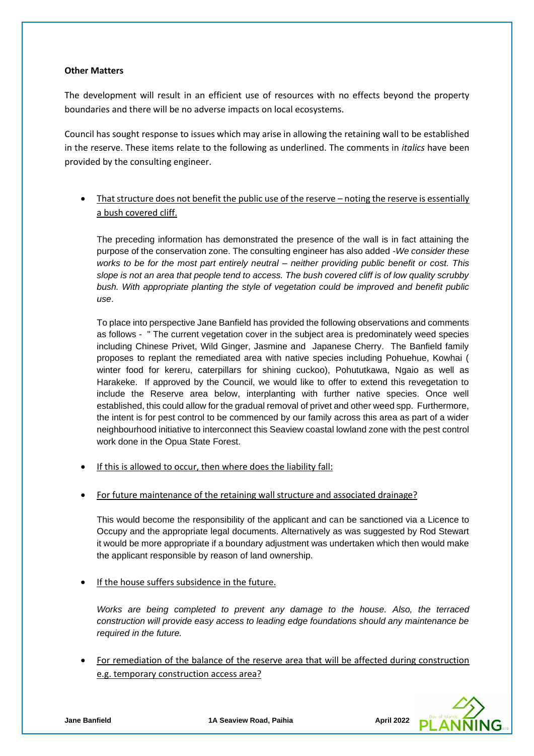### **Other Matters**

The development will result in an efficient use of resources with no effects beyond the property boundaries and there will be no adverse impacts on local ecosystems.

Council has sought response to issues which may arise in allowing the retaining wall to be established in the reserve. These items relate to the following as underlined. The comments in *italics* have been provided by the consulting engineer.

That structure does not benefit the public use of the reserve – noting the reserve is essentially a bush covered cliff.

The preceding information has demonstrated the presence of the wall is in fact attaining the purpose of the conservation zone. The consulting engineer has also added *-We consider these works to be for the most part entirely neutral – neither providing public benefit or cost. This slope is not an area that people tend to access. The bush covered cliff is of low quality scrubby bush. With appropriate planting the style of vegetation could be improved and benefit public use*.

To place into perspective Jane Banfield has provided the following observations and comments as follows - " The current vegetation cover in the subject area is predominately weed species including Chinese Privet, Wild Ginger, Jasmine and Japanese Cherry. The Banfield family proposes to replant the remediated area with native species including Pohuehue, Kowhai ( winter food for kereru, caterpillars for shining cuckoo), Pohututkawa, Ngaio as well as Harakeke. If approved by the Council, we would like to offer to extend this revegetation to include the Reserve area below, interplanting with further native species. Once well established, this could allow for the gradual removal of privet and other weed spp. Furthermore, the intent is for pest control to be commenced by our family across this area as part of a wider neighbourhood initiative to interconnect this Seaview coastal lowland zone with the pest control work done in the Opua State Forest.

- If this is allowed to occur, then where does the liability fall:
- For future maintenance of the retaining wall structure and associated drainage?

This would become the responsibility of the applicant and can be sanctioned via a Licence to Occupy and the appropriate legal documents. Alternatively as was suggested by Rod Stewart it would be more appropriate if a boundary adjustment was undertaken which then would make the applicant responsible by reason of land ownership.

If the house suffers subsidence in the future.

*Works are being completed to prevent any damage to the house. Also, the terraced construction will provide easy access to leading edge foundations should any maintenance be required in the future.*

• For remediation of the balance of the reserve area that will be affected during construction e.g. temporary construction access area?

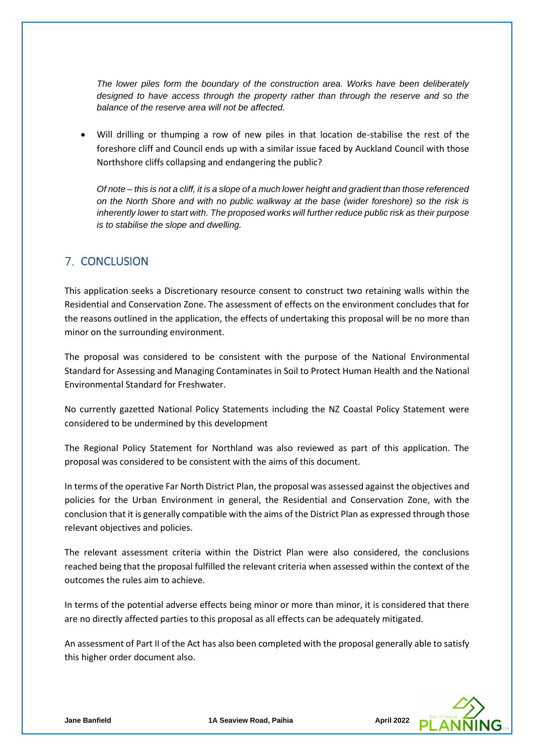*The lower piles form the boundary of the construction area. Works have been deliberately*  designed to have access through the property rather than through the reserve and so the *balance of the reserve area will not be affected.*

• Will drilling or thumping a row of new piles in that location de-stabilise the rest of the foreshore cliff and Council ends up with a similar issue faced by Auckland Council with those Northshore cliffs collapsing and endangering the public?

*Of note – this is not a cliff, it is a slope of a much lower height and gradient than those referenced on the North Shore and with no public walkway at the base (wider foreshore) so the risk is inherently lower to start with. The proposed works will further reduce public risk as their purpose is to stabilise the slope and dwelling.* 

# **7. CONCLUSION**

This application seeks a Discretionary resource consent to construct two retaining walls within the Residential and Conservation Zone. The assessment of effects on the environment concludes that for the reasons outlined in the application, the effects of undertaking this proposal will be no more than minor on the surrounding environment.

The proposal was considered to be consistent with the purpose of the National Environmental Standard for Assessing and Managing Contaminates in Soil to Protect Human Health and the National Environmental Standard for Freshwater.

No currently gazetted National Policy Statements including the NZ Coastal Policy Statement were considered to be undermined by this development

The Regional Policy Statement for Northland was also reviewed as part of this application. The proposal was considered to be consistent with the aims of this document.

In terms of the operative Far North District Plan, the proposal was assessed against the objectives and policies for the Urban Environment in general, the Residential and Conservation Zone, with the conclusion that it is generally compatible with the aims of the District Plan as expressed through those relevant objectives and policies.

The relevant assessment criteria within the District Plan were also considered, the conclusions reached being that the proposal fulfilled the relevant criteria when assessed within the context of the outcomes the rules aim to achieve.

In terms of the potential adverse effects being minor or more than minor, it is considered that there are no directly affected parties to this proposal as all effects can be adequately mitigated.

An assessment of Part II of the Act has also been completed with the proposal generally able to satisfy this higher order document also.